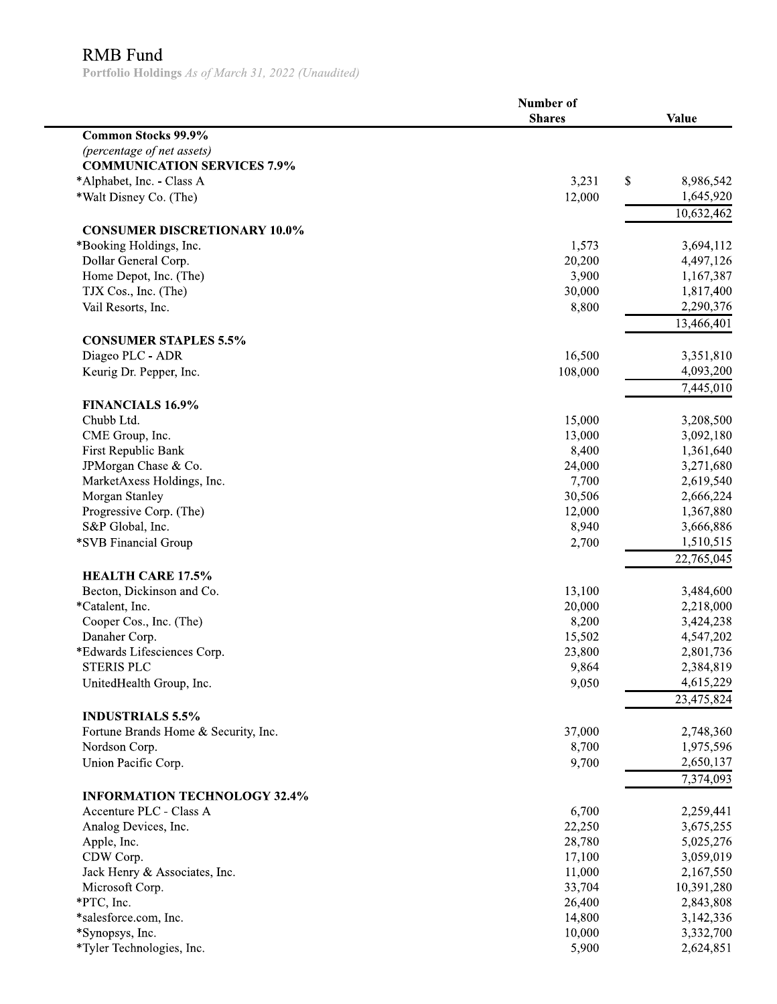## RMB Fund

Portfolio Holdings As of March 31, 2022 (Unaudited)

|                                      | Number of     |              |  |
|--------------------------------------|---------------|--------------|--|
|                                      | <b>Shares</b> | <b>Value</b> |  |
| Common Stocks 99.9%                  |               |              |  |
| (percentage of net assets)           |               |              |  |
| <b>COMMUNICATION SERVICES 7.9%</b>   |               |              |  |
| *Alphabet, Inc. - Class A            | 3,231<br>\$   | 8,986,542    |  |
| *Walt Disney Co. (The)               | 12,000        | 1,645,920    |  |
|                                      |               | 10,632,462   |  |
| <b>CONSUMER DISCRETIONARY 10.0%</b>  |               |              |  |
| *Booking Holdings, Inc.              | 1,573         | 3,694,112    |  |
| Dollar General Corp.                 | 20,200        | 4,497,126    |  |
| Home Depot, Inc. (The)               | 3,900         | 1,167,387    |  |
| TJX Cos., Inc. (The)                 | 30,000        | 1,817,400    |  |
| Vail Resorts, Inc.                   | 8,800         | 2,290,376    |  |
|                                      |               | 13,466,401   |  |
|                                      |               |              |  |
| <b>CONSUMER STAPLES 5.5%</b>         |               |              |  |
| Diageo PLC - ADR                     | 16,500        | 3,351,810    |  |
| Keurig Dr. Pepper, Inc.              | 108,000       | 4,093,200    |  |
|                                      |               | 7,445,010    |  |
| <b>FINANCIALS 16.9%</b>              |               |              |  |
| Chubb Ltd.                           | 15,000        | 3,208,500    |  |
| CME Group, Inc.                      | 13,000        | 3,092,180    |  |
| First Republic Bank                  | 8,400         | 1,361,640    |  |
| JPMorgan Chase & Co.                 | 24,000        | 3,271,680    |  |
| MarketAxess Holdings, Inc.           | 7,700         | 2,619,540    |  |
| Morgan Stanley                       | 30,506        | 2,666,224    |  |
| Progressive Corp. (The)              | 12,000        | 1,367,880    |  |
| S&P Global, Inc.                     | 8,940         | 3,666,886    |  |
| *SVB Financial Group                 | 2,700         | 1,510,515    |  |
|                                      |               | 22,765,045   |  |
| <b>HEALTH CARE 17.5%</b>             |               |              |  |
| Becton, Dickinson and Co.            | 13,100        | 3,484,600    |  |
| *Catalent, Inc.                      | 20,000        | 2,218,000    |  |
| Cooper Cos., Inc. (The)              | 8,200         | 3,424,238    |  |
| Danaher Corp.                        | 15,502        | 4,547,202    |  |
| *Edwards Lifesciences Corp.          | 23,800        | 2,801,736    |  |
| <b>STERIS PLC</b>                    | 9,864         | 2,384,819    |  |
| UnitedHealth Group, Inc.             | 9,050         | 4,615,229    |  |
|                                      |               | 23,475,824   |  |
|                                      |               |              |  |
| <b>INDUSTRIALS 5.5%</b>              |               |              |  |
| Fortune Brands Home & Security, Inc. | 37,000        | 2,748,360    |  |
| Nordson Corp.                        | 8,700         | 1,975,596    |  |
| Union Pacific Corp.                  | 9,700         | 2,650,137    |  |
|                                      |               | 7,374,093    |  |
| <b>INFORMATION TECHNOLOGY 32.4%</b>  |               |              |  |
| Accenture PLC - Class A              | 6,700         | 2,259,441    |  |
| Analog Devices, Inc.                 | 22,250        | 3,675,255    |  |
| Apple, Inc.                          | 28,780        | 5,025,276    |  |
| CDW Corp.                            | 17,100        | 3,059,019    |  |
| Jack Henry & Associates, Inc.        | 11,000        | 2,167,550    |  |
| Microsoft Corp.                      | 33,704        | 10,391,280   |  |
| *PTC, Inc.                           | 26,400        | 2,843,808    |  |
| *salesforce.com, Inc.                | 14,800        | 3,142,336    |  |
| *Synopsys, Inc.                      | 10,000        | 3,332,700    |  |
| *Tyler Technologies, Inc.            | 5,900         | 2,624,851    |  |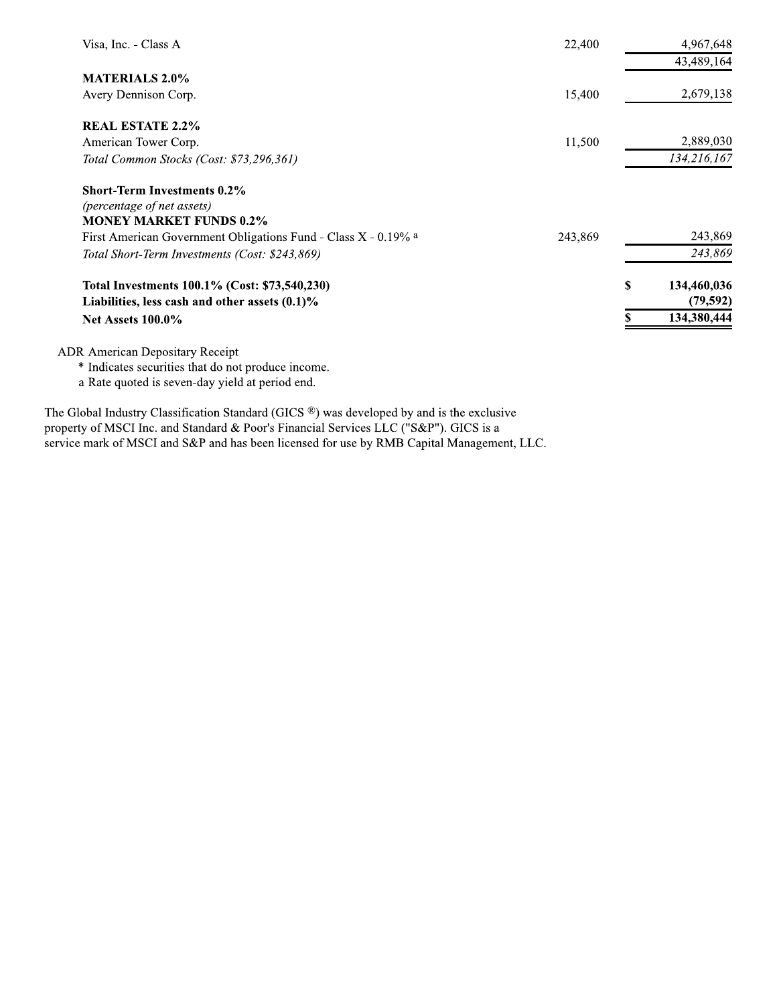| Visa, Inc. - Class A                                           | 22,400  | 4,967,648         |
|----------------------------------------------------------------|---------|-------------------|
|                                                                |         | 43,489,164        |
| <b>MATERIALS 2.0%</b>                                          |         |                   |
| Avery Dennison Corp.                                           | 15,400  | 2,679,138         |
| <b>REAL ESTATE 2.2%</b>                                        |         |                   |
| American Tower Corp.                                           | 11,500  | 2,889,030         |
| Total Common Stocks (Cost: \$73,296,361)                       |         | 134,216,167       |
| <b>Short-Term Investments 0.2%</b>                             |         |                   |
| (percentage of net assets)                                     |         |                   |
| <b>MONEY MARKET FUNDS 0.2%</b>                                 |         |                   |
| First American Government Obligations Fund - Class X - 0.19% a | 243,869 | 243,869           |
| Total Short-Term Investments (Cost: \$243,869)                 |         | 243,869           |
| Total Investments 100.1% (Cost: \$73,540,230)                  |         | \$<br>134,460,036 |
| Liabilities, less cash and other assets $(0.1)\%$              |         | (79, 592)         |
| <b>Net Assets 100.0%</b>                                       |         | 134,380,444       |
|                                                                |         |                   |
| <b>ADR</b> American Depositary Receipt                         |         |                   |

<sup>\*</sup> Indicates securities that do not produce income.

a Rate quoted is seven-day yield at period end.

The Global Industry Classification Standard (GICS ®) was developed by and is the exclusive property of MSCI Inc. and Standard & Poor's Financial Services LLC ("S&P"). GICS is a service mark of MSCI and S&P and has been licensed for use by RMB Capital Management, LLC.